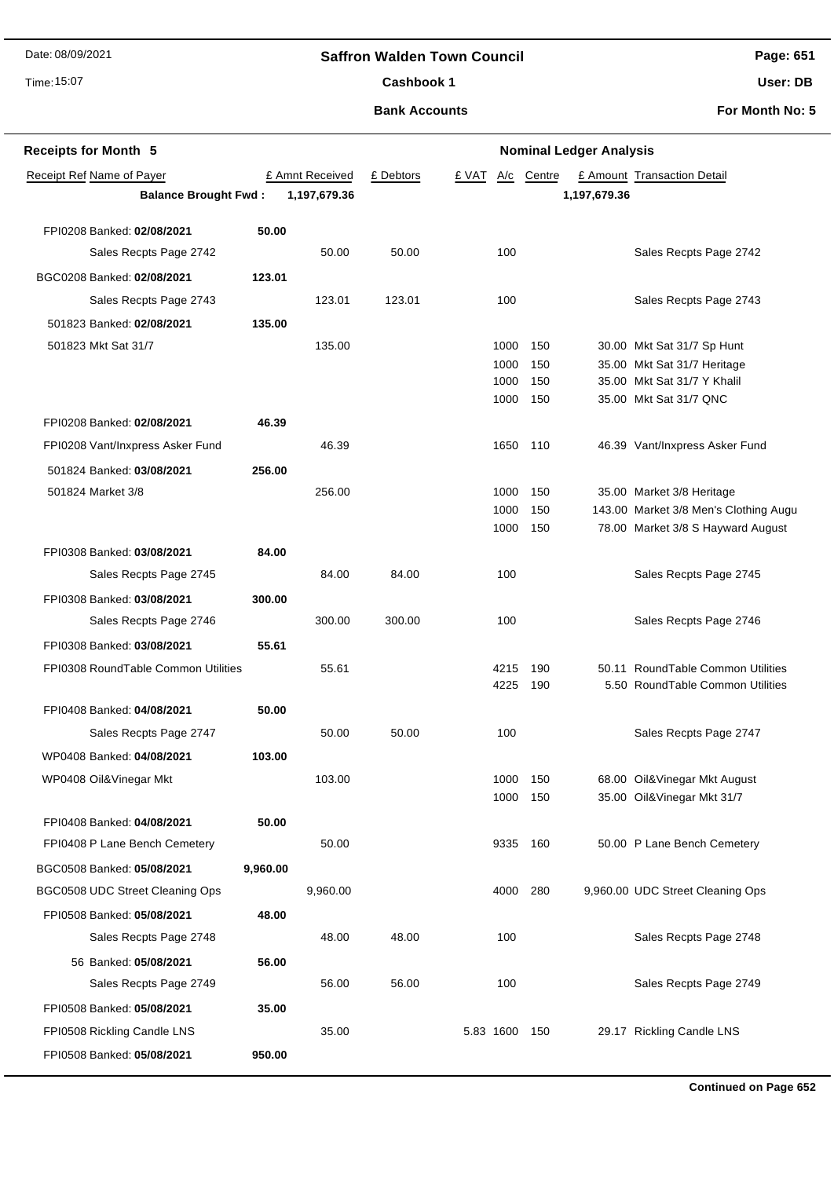## **Saffron Walden Town Council**

Time: 15:07

## **Page: 651**

**User: DB**

**Bank Accounts**

Cashbook 1

| <b>Receipts for Month 5</b>         |          | <b>Nominal Ledger Analysis</b> |           |              |            |              |                                                                            |  |
|-------------------------------------|----------|--------------------------------|-----------|--------------|------------|--------------|----------------------------------------------------------------------------|--|
| Receipt Ref Name of Payer           |          | £ Amnt Received                | £ Debtors | £ VAT<br>A/c | Centre     |              | £ Amount Transaction Detail                                                |  |
| <b>Balance Brought Fwd:</b>         |          | 1,197,679.36                   |           |              |            | 1,197,679.36 |                                                                            |  |
| FPI0208 Banked: 02/08/2021          | 50.00    |                                |           |              |            |              |                                                                            |  |
| Sales Recpts Page 2742              |          | 50.00                          | 50.00     | 100          |            |              | Sales Recpts Page 2742                                                     |  |
| BGC0208 Banked: 02/08/2021          | 123.01   |                                |           |              |            |              |                                                                            |  |
| Sales Recpts Page 2743              |          | 123.01                         | 123.01    | 100          |            |              | Sales Recpts Page 2743                                                     |  |
| 501823 Banked: 02/08/2021           | 135.00   |                                |           |              |            |              |                                                                            |  |
| 501823 Mkt Sat 31/7                 |          | 135.00                         |           | 1000         | 150        |              | 30.00 Mkt Sat 31/7 Sp Hunt                                                 |  |
|                                     |          |                                |           | 1000         | 150        |              | 35.00 Mkt Sat 31/7 Heritage                                                |  |
|                                     |          |                                |           | 1000         | 150        |              | 35.00 Mkt Sat 31/7 Y Khalil                                                |  |
|                                     |          |                                |           | 1000         | 150        |              | 35.00 Mkt Sat 31/7 QNC                                                     |  |
| FPI0208 Banked: 02/08/2021          | 46.39    |                                |           |              |            |              |                                                                            |  |
| FPI0208 Vant/Inxpress Asker Fund    |          | 46.39                          |           | 1650         | 110        |              | 46.39 Vant/Inxpress Asker Fund                                             |  |
| 501824 Banked: 03/08/2021           | 256.00   |                                |           |              |            |              |                                                                            |  |
| 501824 Market 3/8                   |          | 256.00                         |           | 1000         | 150        |              | 35.00 Market 3/8 Heritage                                                  |  |
|                                     |          |                                |           | 1000<br>1000 | 150<br>150 |              | 143.00 Market 3/8 Men's Clothing Augu<br>78.00 Market 3/8 S Hayward August |  |
|                                     |          |                                |           |              |            |              |                                                                            |  |
| FPI0308 Banked: 03/08/2021          | 84.00    |                                |           |              |            |              |                                                                            |  |
| Sales Recpts Page 2745              |          | 84.00                          | 84.00     | 100          |            |              | Sales Recpts Page 2745                                                     |  |
| FPI0308 Banked: 03/08/2021          | 300.00   |                                |           |              |            |              |                                                                            |  |
| Sales Recpts Page 2746              |          | 300.00                         | 300.00    | 100          |            |              | Sales Recpts Page 2746                                                     |  |
| FPI0308 Banked: 03/08/2021          | 55.61    |                                |           |              |            |              |                                                                            |  |
| FPI0308 RoundTable Common Utilities |          | 55.61                          |           | 4215         | 190        |              | 50.11 RoundTable Common Utilities                                          |  |
|                                     |          |                                |           | 4225         | 190        |              | 5.50 RoundTable Common Utilities                                           |  |
| FPI0408 Banked: 04/08/2021          | 50.00    |                                |           |              |            |              |                                                                            |  |
| Sales Recpts Page 2747              |          | 50.00                          | 50.00     | 100          |            |              | Sales Recpts Page 2747                                                     |  |
| WP0408 Banked: 04/08/2021           | 103.00   |                                |           |              |            |              |                                                                            |  |
| WP0408 Oil&Vinegar Mkt              |          | 103.00                         |           | 1000         | 150        |              | 68.00 Oil& Vinegar Mkt August                                              |  |
|                                     |          |                                |           | 1000         | 150        |              | 35.00 Oil&Vinegar Mkt 31/7                                                 |  |
| FPI0408 Banked: 04/08/2021          | 50.00    |                                |           |              |            |              |                                                                            |  |
| FPI0408 P Lane Bench Cemetery       |          | 50.00                          |           | 9335         | 160        |              | 50.00 P Lane Bench Cemetery                                                |  |
| BGC0508 Banked: 05/08/2021          | 9,960.00 |                                |           |              |            |              |                                                                            |  |
| BGC0508 UDC Street Cleaning Ops     |          | 9,960.00                       |           | 4000         | 280        |              | 9,960.00 UDC Street Cleaning Ops                                           |  |
| FPI0508 Banked: 05/08/2021          | 48.00    |                                |           |              |            |              |                                                                            |  |
| Sales Recpts Page 2748              |          | 48.00                          | 48.00     | 100          |            |              | Sales Recpts Page 2748                                                     |  |
| 56 Banked: 05/08/2021               | 56.00    |                                |           |              |            |              |                                                                            |  |
| Sales Recpts Page 2749              |          | 56.00                          | 56.00     | 100          |            |              | Sales Recpts Page 2749                                                     |  |
| FPI0508 Banked: 05/08/2021          | 35.00    |                                |           |              |            |              |                                                                            |  |
| FPI0508 Rickling Candle LNS         |          | 35.00                          |           | 5.83 1600    | 150        |              | 29.17 Rickling Candle LNS                                                  |  |
| FPI0508 Banked: 05/08/2021          | 950.00   |                                |           |              |            |              |                                                                            |  |
|                                     |          |                                |           |              |            |              |                                                                            |  |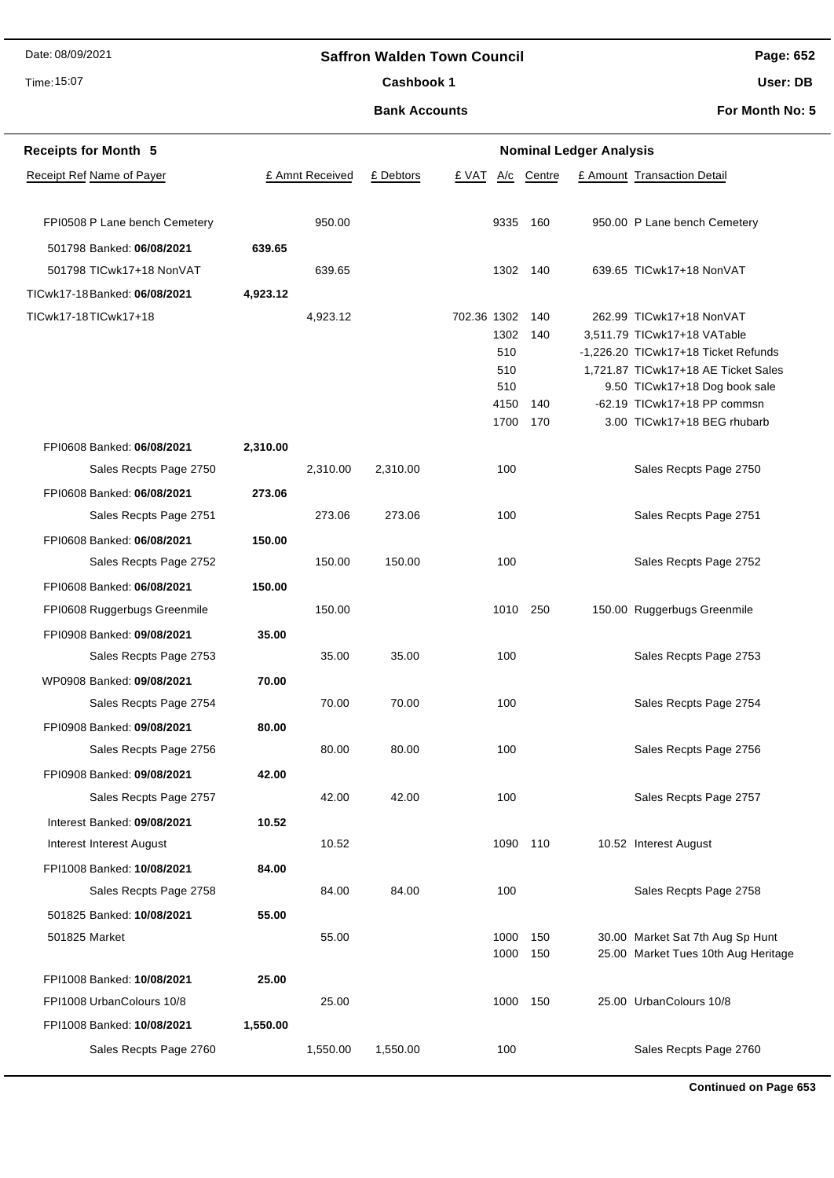### **Saffron Walden Town Council**

Time: 15:07

#### Cashbook 1

**Bank Accounts**

**Page: 652 User: DB**

**For Month No: 5**

| <b>Receipts for Month 5</b>   |          |                 |           |              |            | <b>Nominal Ledger Analysis</b> |                                                                         |
|-------------------------------|----------|-----------------|-----------|--------------|------------|--------------------------------|-------------------------------------------------------------------------|
| Receipt Ref Name of Payer     |          | £ Amnt Received | £ Debtors | £ VAT<br>A/c | Centre     |                                | £ Amount Transaction Detail                                             |
| FPI0508 P Lane bench Cemetery |          | 950.00          |           | 9335         | 160        |                                | 950.00 P Lane bench Cemetery                                            |
| 501798 Banked: 06/08/2021     | 639.65   |                 |           |              |            |                                |                                                                         |
| 501798 TICwk17+18 NonVAT      |          | 639.65          |           |              | 1302 140   |                                | 639.65 TICwk17+18 NonVAT                                                |
| TICwk17-18Banked: 06/08/2021  | 4,923.12 |                 |           |              |            |                                |                                                                         |
| TICwk17-18TICwk17+18          |          | 4,923.12        |           | 702.36 1302  | 140        |                                | 262.99 TICwk17+18 NonVAT                                                |
|                               |          |                 |           | 1302         | 140        |                                | 3.511.79 TICwk17+18 VATable                                             |
|                               |          |                 |           | 510          |            |                                | -1,226.20 TICwk17+18 Ticket Refunds                                     |
|                               |          |                 |           | 510          |            |                                | 1,721.87 TICwk17+18 AE Ticket Sales<br>9.50 TICwk17+18 Dog book sale    |
|                               |          |                 |           | 510<br>4150  | 140        |                                | -62.19 TICwk17+18 PP commsn                                             |
|                               |          |                 |           | 1700         | 170        |                                | 3.00 TICwk17+18 BEG rhubarb                                             |
| FPI0608 Banked: 06/08/2021    | 2,310.00 |                 |           |              |            |                                |                                                                         |
| Sales Recpts Page 2750        |          | 2,310.00        | 2,310.00  | 100          |            |                                | Sales Recpts Page 2750                                                  |
| FPI0608 Banked: 06/08/2021    | 273.06   |                 |           |              |            |                                |                                                                         |
| Sales Recpts Page 2751        |          | 273.06          | 273.06    | 100          |            |                                | Sales Recpts Page 2751                                                  |
| FPI0608 Banked: 06/08/2021    | 150.00   |                 |           |              |            |                                |                                                                         |
| Sales Recpts Page 2752        |          | 150.00          | 150.00    | 100          |            |                                | Sales Recpts Page 2752                                                  |
| FPI0608 Banked: 06/08/2021    | 150.00   |                 |           |              |            |                                |                                                                         |
| FPI0608 Ruggerbugs Greenmile  |          | 150.00          |           | 1010         | 250        |                                | 150.00 Ruggerbugs Greenmile                                             |
| FPI0908 Banked: 09/08/2021    | 35.00    |                 |           |              |            |                                |                                                                         |
| Sales Recpts Page 2753        |          | 35.00           | 35.00     | 100          |            |                                | Sales Recpts Page 2753                                                  |
| WP0908 Banked: 09/08/2021     | 70.00    |                 |           |              |            |                                |                                                                         |
| Sales Recpts Page 2754        |          | 70.00           | 70.00     | 100          |            |                                | Sales Recpts Page 2754                                                  |
| FPI0908 Banked: 09/08/2021    | 80.00    |                 |           |              |            |                                |                                                                         |
| Sales Recpts Page 2756        |          | 80.00           | 80.00     | 100          |            |                                | Sales Recpts Page 2756                                                  |
| FPI0908 Banked: 09/08/2021    | 42.00    |                 |           |              |            |                                |                                                                         |
| Sales Recpts Page 2757        |          | 42.00           | 42.00     | 100          |            |                                | Sales Recpts Page 2757                                                  |
| Interest Banked: 09/08/2021   | 10.52    |                 |           |              |            |                                |                                                                         |
| Interest Interest August      |          | 10.52           |           | 1090         | 110        |                                | 10.52 Interest August                                                   |
| FPI1008 Banked: 10/08/2021    | 84.00    |                 |           |              |            |                                |                                                                         |
| Sales Recpts Page 2758        |          | 84.00           | 84.00     | 100          |            |                                | Sales Recpts Page 2758                                                  |
| 501825 Banked: 10/08/2021     | 55.00    |                 |           |              |            |                                |                                                                         |
| 501825 Market                 |          | 55.00           |           | 1000<br>1000 | 150<br>150 |                                | 30.00 Market Sat 7th Aug Sp Hunt<br>25.00 Market Tues 10th Aug Heritage |
| FPI1008 Banked: 10/08/2021    | 25.00    |                 |           |              |            |                                |                                                                         |
| FPI1008 UrbanColours 10/8     |          | 25.00           |           | 1000         | 150        |                                | 25.00 UrbanColours 10/8                                                 |
| FPI1008 Banked: 10/08/2021    | 1,550.00 |                 |           |              |            |                                |                                                                         |
| Sales Recpts Page 2760        |          | 1,550.00        | 1,550.00  | 100          |            |                                | Sales Recpts Page 2760                                                  |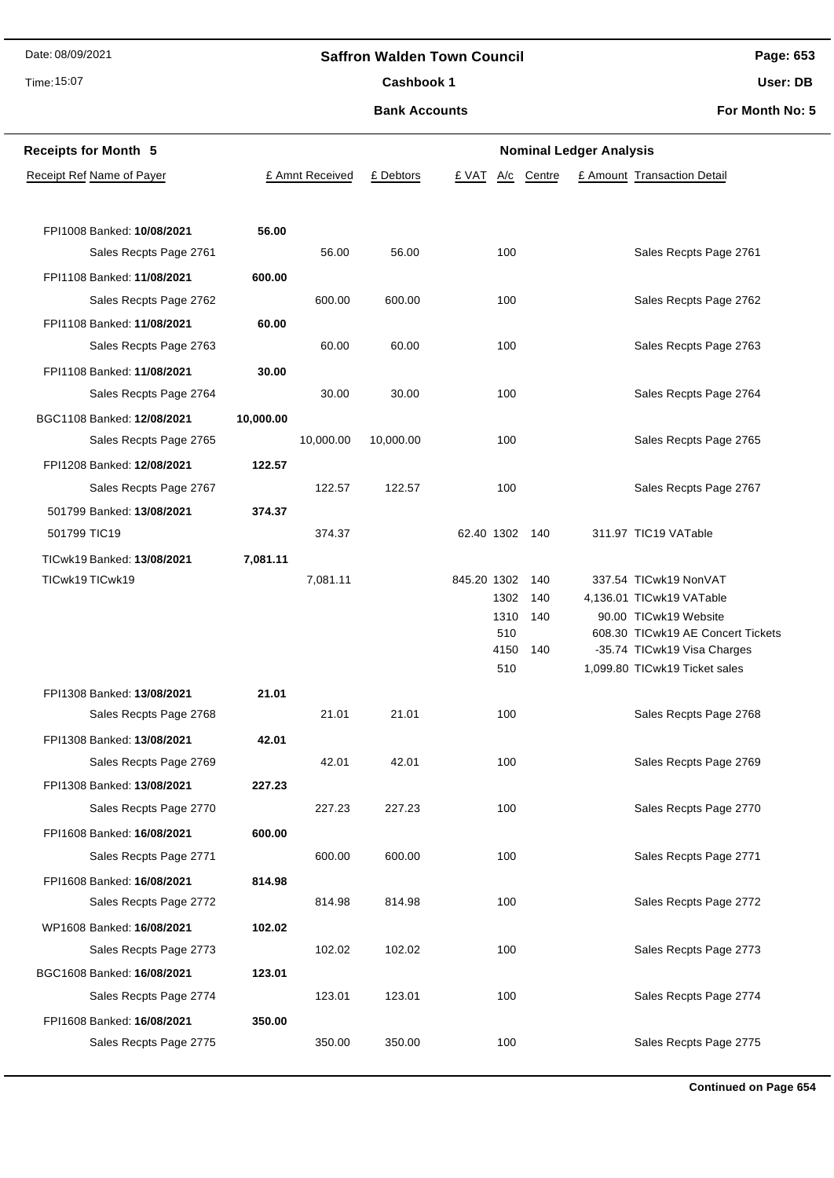# Time: 15:07

### **Saffron Walden Town Council**

**Page: 653**

Cashbook 1

**Bank Accounts**

**User: DB**

| <b>Receipts for Month 5</b> |           |                 |           |                 |        | <b>Nominal Ledger Analysis</b> |                                                            |
|-----------------------------|-----------|-----------------|-----------|-----------------|--------|--------------------------------|------------------------------------------------------------|
| Receipt Ref Name of Payer   |           | £ Amnt Received | £ Debtors | £ VAT<br>A/c    | Centre |                                | £ Amount Transaction Detail                                |
|                             |           |                 |           |                 |        |                                |                                                            |
| FPI1008 Banked: 10/08/2021  | 56.00     |                 |           |                 |        |                                |                                                            |
| Sales Recpts Page 2761      |           | 56.00           | 56.00     | 100             |        |                                | Sales Recpts Page 2761                                     |
| FPI1108 Banked: 11/08/2021  | 600.00    |                 |           |                 |        |                                |                                                            |
| Sales Recpts Page 2762      |           | 600.00          | 600.00    | 100             |        |                                | Sales Recpts Page 2762                                     |
| FPI1108 Banked: 11/08/2021  | 60.00     |                 |           |                 |        |                                |                                                            |
| Sales Recpts Page 2763      |           | 60.00           | 60.00     | 100             |        |                                | Sales Recpts Page 2763                                     |
| FPI1108 Banked: 11/08/2021  | 30.00     |                 |           |                 |        |                                |                                                            |
| Sales Recpts Page 2764      |           | 30.00           | 30.00     | 100             |        |                                | Sales Recpts Page 2764                                     |
| BGC1108 Banked: 12/08/2021  | 10,000.00 |                 |           |                 |        |                                |                                                            |
| Sales Recpts Page 2765      |           | 10,000.00       | 10,000.00 | 100             |        |                                | Sales Recpts Page 2765                                     |
| FPI1208 Banked: 12/08/2021  | 122.57    |                 |           |                 |        |                                |                                                            |
| Sales Recpts Page 2767      |           | 122.57          | 122.57    | 100             |        |                                | Sales Recpts Page 2767                                     |
| 501799 Banked: 13/08/2021   | 374.37    |                 |           |                 |        |                                |                                                            |
| 501799 TIC19                |           | 374.37          |           | 62.40 1302 140  |        |                                | 311.97 TIC19 VATable                                       |
| TICwk19 Banked: 13/08/2021  | 7,081.11  |                 |           |                 |        |                                |                                                            |
| TICwk19TICwk19              |           | 7,081.11        |           | 845.20 1302 140 |        |                                | 337.54 TICwk19 NonVAT                                      |
|                             |           |                 |           | 1302            | 140    |                                | 4,136.01 TICwk19 VATable                                   |
|                             |           |                 |           | 1310<br>510     | 140    |                                | 90.00 TICwk19 Website<br>608.30 TICwk19 AE Concert Tickets |
|                             |           |                 |           | 4150            | 140    |                                | -35.74 TICwk19 Visa Charges                                |
|                             |           |                 |           | 510             |        |                                | 1,099.80 TICwk19 Ticket sales                              |
| FPI1308 Banked: 13/08/2021  | 21.01     |                 |           |                 |        |                                |                                                            |
| Sales Recpts Page 2768      |           | 21.01           | 21.01     | 100             |        |                                | Sales Recpts Page 2768                                     |
| FPI1308 Banked: 13/08/2021  | 42.01     |                 |           |                 |        |                                |                                                            |
| Sales Recpts Page 2769      |           | 42.01           | 42.01     | 100             |        |                                | Sales Recpts Page 2769                                     |
| FPI1308 Banked: 13/08/2021  | 227.23    |                 |           |                 |        |                                |                                                            |
| Sales Recpts Page 2770      |           | 227.23          | 227.23    | 100             |        |                                | Sales Recpts Page 2770                                     |
| FPI1608 Banked: 16/08/2021  | 600.00    |                 |           |                 |        |                                |                                                            |
| Sales Recpts Page 2771      |           | 600.00          | 600.00    | 100             |        |                                | Sales Recpts Page 2771                                     |
| FPI1608 Banked: 16/08/2021  | 814.98    |                 |           |                 |        |                                |                                                            |
| Sales Recpts Page 2772      |           | 814.98          | 814.98    | 100             |        |                                | Sales Recpts Page 2772                                     |
| WP1608 Banked: 16/08/2021   | 102.02    |                 |           |                 |        |                                |                                                            |
| Sales Recpts Page 2773      |           | 102.02          | 102.02    | 100             |        |                                | Sales Recpts Page 2773                                     |
| BGC1608 Banked: 16/08/2021  | 123.01    |                 |           |                 |        |                                |                                                            |
| Sales Recpts Page 2774      |           | 123.01          | 123.01    | 100             |        |                                | Sales Recpts Page 2774                                     |
| FPI1608 Banked: 16/08/2021  | 350.00    |                 |           |                 |        |                                |                                                            |
| Sales Recpts Page 2775      |           | 350.00          | 350.00    | 100             |        |                                | Sales Recpts Page 2775                                     |
|                             |           |                 |           |                 |        |                                |                                                            |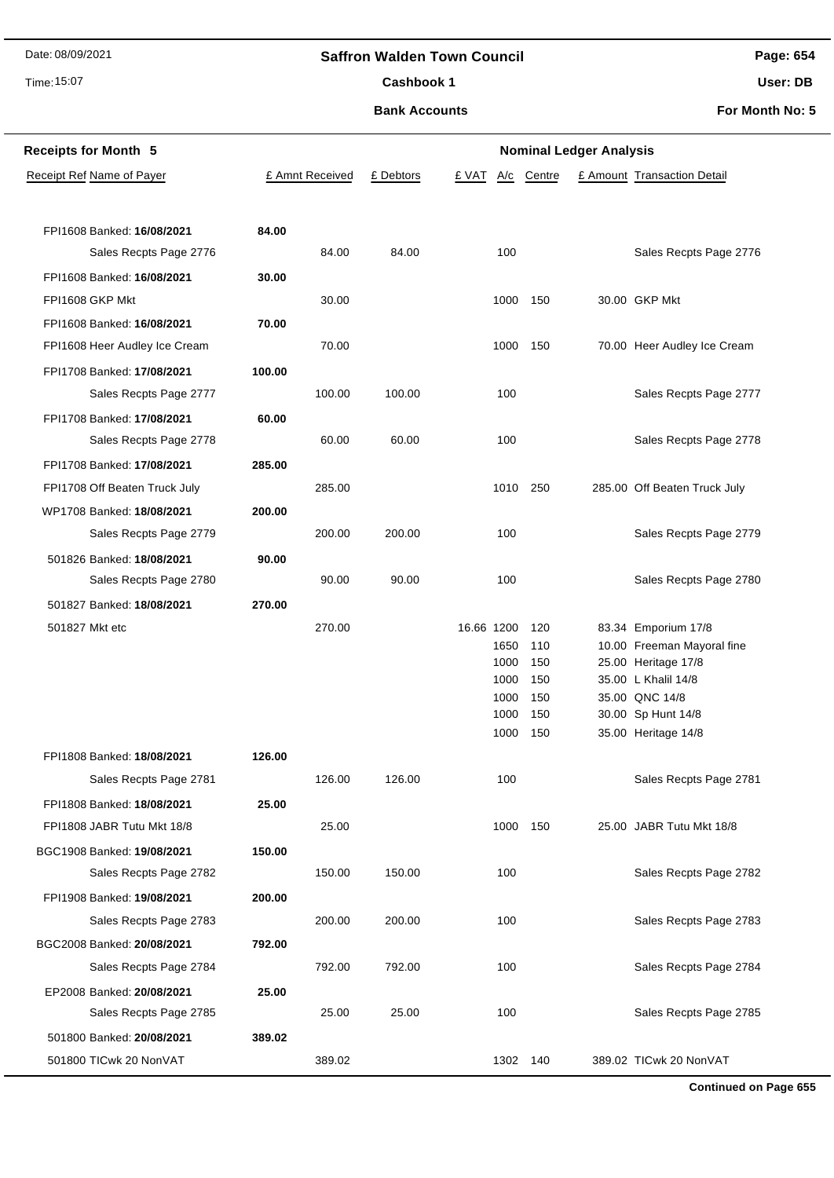### Time: 15:07

# **Saffron Walden Town Council** Cashbook 1

**Page: 654**

**User: DB**

**Bank Accounts**

**For Month No: 5**

| <b>Receipts for Month 5</b>   |        | <b>Nominal Ledger Analysis</b> |           |              |            |  |                                           |  |
|-------------------------------|--------|--------------------------------|-----------|--------------|------------|--|-------------------------------------------|--|
| Receipt Ref Name of Payer     |        | £ Amnt Received                | £ Debtors | £ VAT<br>A/c | Centre     |  | £ Amount Transaction Detail               |  |
|                               |        |                                |           |              |            |  |                                           |  |
|                               | 84.00  |                                |           |              |            |  |                                           |  |
| FPI1608 Banked: 16/08/2021    |        | 84.00                          | 84.00     | 100          |            |  |                                           |  |
| Sales Recpts Page 2776        |        |                                |           |              |            |  | Sales Recpts Page 2776                    |  |
| FPI1608 Banked: 16/08/2021    | 30.00  |                                |           |              |            |  |                                           |  |
| FPI1608 GKP Mkt               |        | 30.00                          |           | 1000 150     |            |  | 30.00 GKP Mkt                             |  |
| FPI1608 Banked: 16/08/2021    | 70.00  |                                |           |              |            |  |                                           |  |
| FPI1608 Heer Audley Ice Cream |        | 70.00                          |           | 1000         | 150        |  | 70.00 Heer Audley Ice Cream               |  |
| FPI1708 Banked: 17/08/2021    | 100.00 |                                |           |              |            |  |                                           |  |
| Sales Recpts Page 2777        |        | 100.00                         | 100.00    | 100          |            |  | Sales Recpts Page 2777                    |  |
| FPI1708 Banked: 17/08/2021    | 60.00  |                                |           |              |            |  |                                           |  |
| Sales Recpts Page 2778        |        | 60.00                          | 60.00     | 100          |            |  | Sales Recpts Page 2778                    |  |
| FPI1708 Banked: 17/08/2021    | 285.00 |                                |           |              |            |  |                                           |  |
|                               |        |                                |           |              |            |  |                                           |  |
| FPI1708 Off Beaten Truck July |        | 285.00                         |           | 1010         | 250        |  | 285.00 Off Beaten Truck July              |  |
| WP1708 Banked: 18/08/2021     | 200.00 |                                |           |              |            |  |                                           |  |
| Sales Recpts Page 2779        |        | 200.00                         | 200.00    | 100          |            |  | Sales Recpts Page 2779                    |  |
| 501826 Banked: 18/08/2021     | 90.00  |                                |           |              |            |  |                                           |  |
| Sales Recpts Page 2780        |        | 90.00                          | 90.00     | 100          |            |  | Sales Recpts Page 2780                    |  |
| 501827 Banked: 18/08/2021     | 270.00 |                                |           |              |            |  |                                           |  |
| 501827 Mkt etc                |        | 270.00                         |           | 16.66 1200   | 120        |  | 83.34 Emporium 17/8                       |  |
|                               |        |                                |           | 1650         | 110        |  | 10.00 Freeman Mayoral fine                |  |
|                               |        |                                |           | 1000         | 150        |  | 25.00 Heritage 17/8                       |  |
|                               |        |                                |           | 1000         | 150        |  | 35.00 L Khalil 14/8                       |  |
|                               |        |                                |           | 1000         | 150        |  | 35.00 QNC 14/8                            |  |
|                               |        |                                |           | 1000<br>1000 | 150<br>150 |  | 30.00 Sp Hunt 14/8<br>35.00 Heritage 14/8 |  |
| FPI1808 Banked: 18/08/2021    | 126.00 |                                |           |              |            |  |                                           |  |
|                               |        |                                |           |              |            |  |                                           |  |
| Sales Recpts Page 2781        |        | 126.00                         | 126.00    | 100          |            |  | Sales Recpts Page 2781                    |  |
| FPI1808 Banked: 18/08/2021    | 25.00  |                                |           |              |            |  |                                           |  |
| FPI1808 JABR Tutu Mkt 18/8    |        | 25.00                          |           | 1000         | 150        |  | 25.00 JABR Tutu Mkt 18/8                  |  |
| BGC1908 Banked: 19/08/2021    | 150.00 |                                |           |              |            |  |                                           |  |
| Sales Recpts Page 2782        |        | 150.00                         | 150.00    | 100          |            |  | Sales Recpts Page 2782                    |  |
| FPI1908 Banked: 19/08/2021    | 200.00 |                                |           |              |            |  |                                           |  |
| Sales Recpts Page 2783        |        | 200.00                         | 200.00    | 100          |            |  | Sales Recpts Page 2783                    |  |
| BGC2008 Banked: 20/08/2021    | 792.00 |                                |           |              |            |  |                                           |  |
| Sales Recpts Page 2784        |        | 792.00                         | 792.00    | 100          |            |  | Sales Recpts Page 2784                    |  |
| EP2008 Banked: 20/08/2021     | 25.00  |                                |           |              |            |  |                                           |  |
| Sales Recpts Page 2785        |        | 25.00                          | 25.00     | 100          |            |  | Sales Recpts Page 2785                    |  |
|                               |        |                                |           |              |            |  |                                           |  |
| 501800 Banked: 20/08/2021     | 389.02 |                                |           |              |            |  |                                           |  |
| 501800 TICwk 20 NonVAT        |        | 389.02                         |           | 1302 140     |            |  | 389.02 TICwk 20 NonVAT                    |  |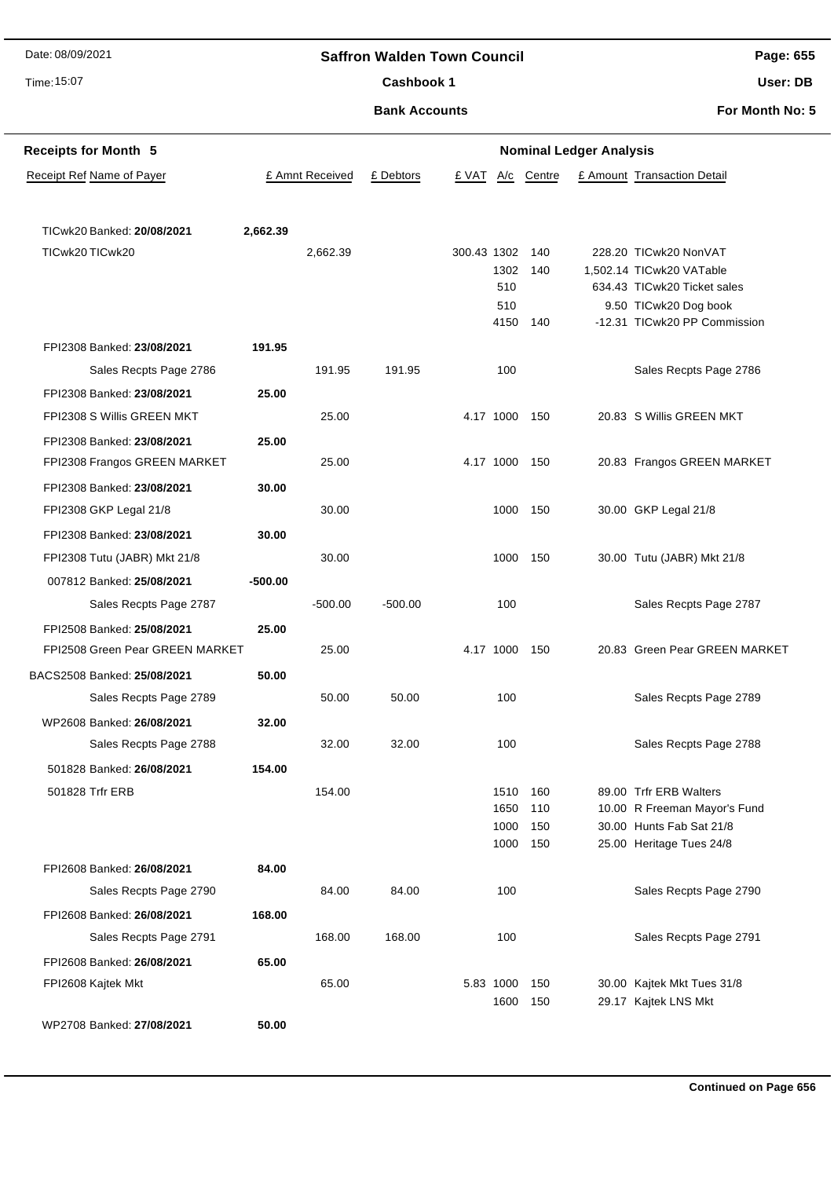### **Saffron Walden Town Council**

Time: 15:07

#### Cashbook 1

**Page: 655**

**User: DB**

**Bank Accounts**

| <b>Receipts for Month 5</b>     |           |                 |           |             |           |               | <b>Nominal Ledger Analysis</b> |                               |
|---------------------------------|-----------|-----------------|-----------|-------------|-----------|---------------|--------------------------------|-------------------------------|
| Receipt Ref Name of Payer       |           | £ Amnt Received | £ Debtors | £ VAT       | A/c       | Centre        |                                | £ Amount Transaction Detail   |
|                                 |           |                 |           |             |           |               |                                |                               |
| TICwk20 Banked: 20/08/2021      | 2,662.39  |                 |           |             |           |               |                                |                               |
| TICwk20 TICwk20                 |           | 2,662.39        |           | 300.43 1302 |           | 140           |                                | 228.20 TICwk20 NonVAT         |
|                                 |           |                 |           |             | 1302      | 140           |                                | 1,502.14 TICwk20 VATable      |
|                                 |           |                 |           |             | 510       |               |                                | 634.43 TICwk20 Ticket sales   |
|                                 |           |                 |           |             | 510       |               |                                | 9.50 TICwk20 Dog book         |
|                                 |           |                 |           |             | 4150      | 140           |                                | -12.31 TICwk20 PP Commission  |
| FPI2308 Banked: 23/08/2021      | 191.95    |                 |           |             |           |               |                                |                               |
| Sales Recpts Page 2786          |           | 191.95          | 191.95    |             | 100       |               |                                | Sales Recpts Page 2786        |
| FPI2308 Banked: 23/08/2021      | 25.00     |                 |           |             |           |               |                                |                               |
| FPI2308 S Willis GREEN MKT      |           | 25.00           |           |             |           | 4.17 1000 150 |                                | 20.83 S Willis GREEN MKT      |
| FPI2308 Banked: 23/08/2021      | 25.00     |                 |           |             |           |               |                                |                               |
| FPI2308 Frangos GREEN MARKET    |           | 25.00           |           |             |           | 4.17 1000 150 |                                | 20.83 Frangos GREEN MARKET    |
| FPI2308 Banked: 23/08/2021      | 30.00     |                 |           |             |           |               |                                |                               |
| FPI2308 GKP Legal 21/8          |           | 30.00           |           |             | 1000      | 150           |                                | 30.00 GKP Legal 21/8          |
| FPI2308 Banked: 23/08/2021      | 30.00     |                 |           |             |           |               |                                |                               |
| FPI2308 Tutu (JABR) Mkt 21/8    |           | 30.00           |           |             | 1000      | 150           |                                | 30.00 Tutu (JABR) Mkt 21/8    |
| 007812 Banked: 25/08/2021       | $-500.00$ |                 |           |             |           |               |                                |                               |
| Sales Recpts Page 2787          |           | $-500.00$       | $-500.00$ |             | 100       |               |                                | Sales Recpts Page 2787        |
| FPI2508 Banked: 25/08/2021      | 25.00     |                 |           |             |           |               |                                |                               |
| FPI2508 Green Pear GREEN MARKET |           | 25.00           |           |             |           | 4.17 1000 150 |                                | 20.83 Green Pear GREEN MARKET |
| BACS2508 Banked: 25/08/2021     | 50.00     |                 |           |             |           |               |                                |                               |
| Sales Recpts Page 2789          |           | 50.00           | 50.00     |             | 100       |               |                                | Sales Recpts Page 2789        |
| WP2608 Banked: 26/08/2021       | 32.00     |                 |           |             |           |               |                                |                               |
| Sales Recpts Page 2788          |           | 32.00           | 32.00     |             | 100       |               |                                | Sales Recpts Page 2788        |
| 501828 Banked: 26/08/2021       | 154.00    |                 |           |             |           |               |                                |                               |
| 501828 Trfr ERB                 |           | 154.00          |           |             | 1510      | 160           |                                | 89.00 Trfr ERB Walters        |
|                                 |           |                 |           |             | 1650      | 110           |                                | 10.00 R Freeman Mayor's Fund  |
|                                 |           |                 |           |             | 1000      | 150           |                                | 30.00 Hunts Fab Sat 21/8      |
|                                 |           |                 |           |             | 1000      | 150           |                                | 25.00 Heritage Tues 24/8      |
| FPI2608 Banked: 26/08/2021      | 84.00     |                 |           |             |           |               |                                |                               |
| Sales Recpts Page 2790          |           | 84.00           | 84.00     |             | 100       |               |                                | Sales Recpts Page 2790        |
| FPI2608 Banked: 26/08/2021      | 168.00    |                 |           |             |           |               |                                |                               |
| Sales Recpts Page 2791          |           | 168.00          | 168.00    |             | 100       |               |                                | Sales Recpts Page 2791        |
| FPI2608 Banked: 26/08/2021      | 65.00     |                 |           |             |           |               |                                |                               |
| FPI2608 Kajtek Mkt              |           | 65.00           |           |             | 5.83 1000 | 150           |                                | 30.00 Kajtek Mkt Tues 31/8    |
|                                 |           |                 |           |             | 1600      | 150           |                                | 29.17 Kajtek LNS Mkt          |
| WP2708 Banked: 27/08/2021       | 50.00     |                 |           |             |           |               |                                |                               |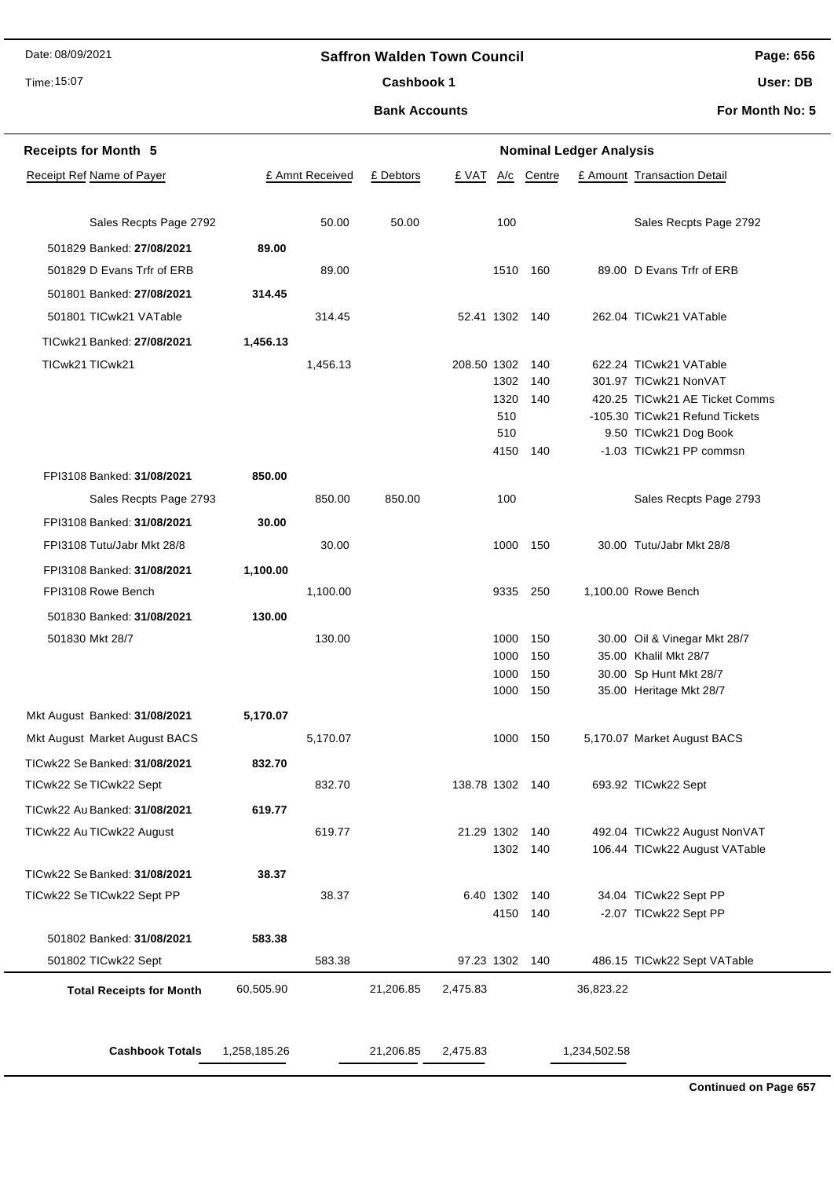# Time: 15:07

# **Saffron Walden Town Council** Cashbook 1

**Page: 656**

**User: DB**

**Bank Accounts**

**For Month No: 5**

| <b>Receipts for Month 5</b>     |              | <b>Nominal Ledger Analysis</b> |           |                 |               |            |              |                                |
|---------------------------------|--------------|--------------------------------|-----------|-----------------|---------------|------------|--------------|--------------------------------|
| Receipt Ref Name of Payer       |              | £ Amnt Received                | £ Debtors | £ VAT           |               | A/c Centre |              | £ Amount Transaction Detail    |
|                                 |              |                                |           |                 |               |            |              |                                |
| Sales Recpts Page 2792          |              | 50.00                          | 50.00     |                 | 100           |            |              | Sales Recpts Page 2792         |
| 501829 Banked: 27/08/2021       | 89.00        |                                |           |                 |               |            |              |                                |
| 501829 D Evans Trfr of ERB      |              | 89.00                          |           |                 |               | 1510 160   |              | 89.00 D Evans Trfr of ERB      |
| 501801 Banked: 27/08/2021       | 314.45       |                                |           |                 |               |            |              |                                |
| 501801 TICwk21 VATable          |              | 314.45                         |           | 52.41 1302 140  |               |            |              | 262.04 TICwk21 VATable         |
| TICwk21 Banked: 27/08/2021      | 1,456.13     |                                |           |                 |               |            |              |                                |
| TICwk21 TICwk21                 |              | 1,456.13                       |           | 208.50 1302     |               | 140        |              | 622.24 TICwk21 VATable         |
|                                 |              |                                |           |                 | 1302          | 140        |              | 301.97 TICwk21 NonVAT          |
|                                 |              |                                |           |                 | 1320          | 140        |              | 420.25 TICwk21 AE Ticket Comms |
|                                 |              |                                |           |                 | 510           |            |              | -105.30 TICwk21 Refund Tickets |
|                                 |              |                                |           |                 | 510           |            |              | 9.50 TICwk21 Dog Book          |
|                                 |              |                                |           |                 |               | 4150 140   |              | -1.03 TICwk21 PP commsn        |
| FPI3108 Banked: 31/08/2021      | 850.00       |                                |           |                 |               |            |              |                                |
| Sales Recpts Page 2793          |              | 850.00                         | 850.00    |                 | 100           |            |              | Sales Recpts Page 2793         |
| FPI3108 Banked: 31/08/2021      | 30.00        |                                |           |                 |               |            |              |                                |
| FPI3108 Tutu/Jabr Mkt 28/8      |              | 30.00                          |           |                 | 1000          | 150        |              | 30.00 Tutu/Jabr Mkt 28/8       |
| FPI3108 Banked: 31/08/2021      | 1,100.00     |                                |           |                 |               |            |              |                                |
| FPI3108 Rowe Bench              |              | 1,100.00                       |           |                 | 9335 250      |            |              | 1,100.00 Rowe Bench            |
| 501830 Banked: 31/08/2021       | 130.00       |                                |           |                 |               |            |              |                                |
| 501830 Mkt 28/7                 |              | 130.00                         |           |                 | 1000          | 150        |              | 30.00 Oil & Vinegar Mkt 28/7   |
|                                 |              |                                |           |                 | 1000          | 150        |              | 35.00 Khalil Mkt 28/7          |
|                                 |              |                                |           |                 | 1000          | 150        |              | 30.00 Sp Hunt Mkt 28/7         |
|                                 |              |                                |           |                 | 1000          | 150        |              | 35.00 Heritage Mkt 28/7        |
| Mkt August Banked: 31/08/2021   | 5,170.07     |                                |           |                 |               |            |              |                                |
| Mkt August Market August BACS   |              | 5,170.07                       |           |                 | 1000          | 150        |              | 5,170.07 Market August BACS    |
| TICwk22 Se Banked: 31/08/2021   | 832.70       |                                |           |                 |               |            |              |                                |
| TICwk22 Se TICwk22 Sept         |              | 832.70                         |           | 138.78 1302 140 |               |            |              | 693.92 TICwk22 Sept            |
| TICwk22 Au Banked: 31/08/2021   | 619.77       |                                |           |                 |               |            |              |                                |
| TICwk22 Au TICwk22 August       |              | 619.77                         |           | 21.29 1302 140  |               |            |              | 492.04 TICwk22 August NonVAT   |
|                                 |              |                                |           |                 |               | 1302 140   |              | 106.44 TICwk22 August VATable  |
| TICwk22 Se Banked: 31/08/2021   | 38.37        |                                |           |                 |               |            |              |                                |
| TICwk22 Se TICwk22 Sept PP      |              | 38.37                          |           |                 | 6.40 1302 140 |            |              | 34.04 TICwk22 Sept PP          |
|                                 |              |                                |           |                 |               | 4150 140   |              | -2.07 TICwk22 Sept PP          |
| 501802 Banked: 31/08/2021       | 583.38       |                                |           |                 |               |            |              |                                |
| 501802 TICwk22 Sept             |              | 583.38                         |           | 97.23 1302 140  |               |            |              | 486.15 TICwk22 Sept VATable    |
| <b>Total Receipts for Month</b> | 60,505.90    |                                | 21,206.85 | 2,475.83        |               |            | 36,823.22    |                                |
|                                 |              |                                |           |                 |               |            |              |                                |
|                                 |              |                                |           |                 |               |            |              |                                |
| <b>Cashbook Totals</b>          | 1,258,185.26 |                                | 21,206.85 | 2,475.83        |               |            | 1,234,502.58 |                                |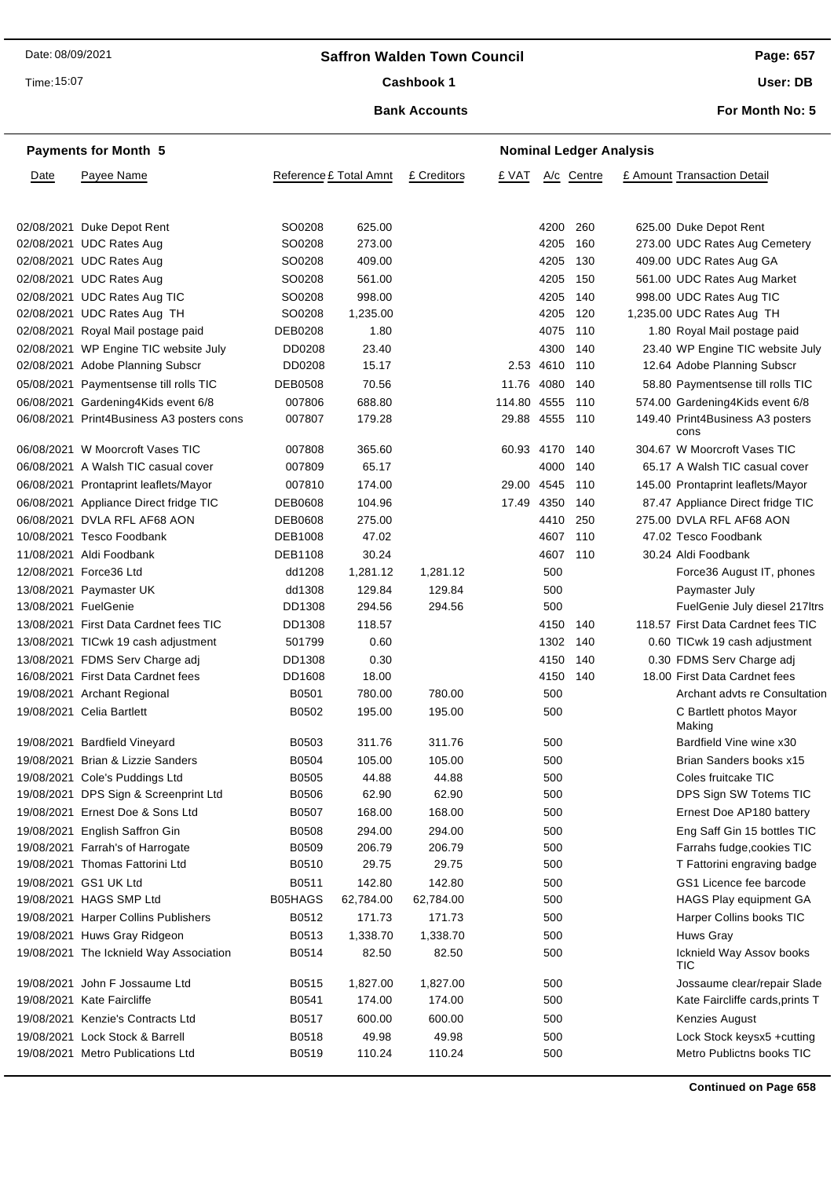### **Saffron Walden Town Council**

Time: 15:07

#### Cashbook 1

**Page: 657**

**User: DB**

**For Month No: 5**

### **Bank Accounts**

|      | <b>Payments for Month 5</b>               |                | <b>Nominal Ledger Analysis</b> |             |                |               |            |  |                                          |  |
|------|-------------------------------------------|----------------|--------------------------------|-------------|----------------|---------------|------------|--|------------------------------------------|--|
| Date | Payee Name                                |                | Reference £ Total Amnt         | £ Creditors | £ VAT          |               | A/c Centre |  | £ Amount Transaction Detail              |  |
|      | 02/08/2021 Duke Depot Rent                | SO0208         | 625.00                         |             |                | 4200          | 260        |  | 625.00 Duke Depot Rent                   |  |
|      | 02/08/2021 UDC Rates Aug                  | SO0208         | 273.00                         |             |                | 4205          | 160        |  | 273.00 UDC Rates Aug Cemetery            |  |
|      | 02/08/2021 UDC Rates Aug                  | SO0208         | 409.00                         |             |                | 4205          | 130        |  | 409.00 UDC Rates Aug GA                  |  |
|      | 02/08/2021 UDC Rates Aug                  | SO0208         | 561.00                         |             |                | 4205          | 150        |  | 561.00 UDC Rates Aug Market              |  |
|      | 02/08/2021 UDC Rates Aug TIC              | SO0208         | 998.00                         |             |                | 4205          | 140        |  | 998.00 UDC Rates Aug TIC                 |  |
|      | 02/08/2021 UDC Rates Aug TH               | SO0208         | 1,235.00                       |             |                | 4205          | 120        |  | 1,235.00 UDC Rates Aug TH                |  |
|      | 02/08/2021 Royal Mail postage paid        | DEB0208        | 1.80                           |             |                | 4075          | 110        |  | 1.80 Royal Mail postage paid             |  |
|      | 02/08/2021 WP Engine TIC website July     | DD0208         | 23.40                          |             |                | 4300          | 140        |  | 23.40 WP Engine TIC website July         |  |
|      | 02/08/2021 Adobe Planning Subscr          | DD0208         | 15.17                          |             |                | 2.53 4610 110 |            |  | 12.64 Adobe Planning Subscr              |  |
|      | 05/08/2021 Paymentsense till rolls TIC    | <b>DEB0508</b> | 70.56                          |             | 11.76 4080 140 |               |            |  | 58.80 Paymentsense till rolls TIC        |  |
|      | 06/08/2021 Gardening4Kids event 6/8       | 007806         | 688.80                         |             | 114.80 4555    |               | 110        |  | 574.00 Gardening4Kids event 6/8          |  |
|      | 06/08/2021 Print4Business A3 posters cons | 007807         | 179.28                         |             | 29.88 4555     |               | 110        |  | 149.40 Print4Business A3 posters<br>cons |  |
|      | 06/08/2021 W Moorcroft Vases TIC          | 007808         | 365.60                         |             | 60.93 4170 140 |               |            |  | 304.67 W Moorcroft Vases TIC             |  |
|      | 06/08/2021 A Walsh TIC casual cover       | 007809         | 65.17                          |             |                | 4000 140      |            |  | 65.17 A Walsh TIC casual cover           |  |
|      | 06/08/2021 Prontaprint leaflets/Mayor     | 007810         | 174.00                         |             | 29.00 4545     |               | 110        |  | 145.00 Prontaprint leaflets/Mayor        |  |
|      | 06/08/2021 Appliance Direct fridge TIC    | <b>DEB0608</b> | 104.96                         |             | 17.49 4350     |               | 140        |  | 87.47 Appliance Direct fridge TIC        |  |
|      | 06/08/2021 DVLA RFL AF68 AON              | DEB0608        | 275.00                         |             |                | 4410          | 250        |  | 275.00 DVLA RFL AF68 AON                 |  |
|      | 10/08/2021 Tesco Foodbank                 | DEB1008        | 47.02                          |             |                | 4607          | 110        |  | 47.02 Tesco Foodbank                     |  |
|      | 11/08/2021 Aldi Foodbank                  | DEB1108        | 30.24                          |             |                | 4607 110      |            |  | 30.24 Aldi Foodbank                      |  |
|      | 12/08/2021 Force36 Ltd                    | dd1208         | 1,281.12                       | 1,281.12    |                | 500           |            |  | Force36 August IT, phones                |  |
|      | 13/08/2021 Paymaster UK                   | dd1308         | 129.84                         | 129.84      |                | 500           |            |  | Paymaster July                           |  |
|      | 13/08/2021 FuelGenie                      | DD1308         | 294.56                         | 294.56      |                | 500           |            |  | FuelGenie July diesel 217ltrs            |  |
|      | 13/08/2021 First Data Cardnet fees TIC    | DD1308         | 118.57                         |             |                | 4150          | 140        |  | 118.57 First Data Cardnet fees TIC       |  |
|      | 13/08/2021 TICwk 19 cash adjustment       | 501799         | 0.60                           |             |                | 1302          | 140        |  | 0.60 TICwk 19 cash adjustment            |  |
|      | 13/08/2021 FDMS Serv Charge adj           | DD1308         | 0.30                           |             |                | 4150 140      |            |  | 0.30 FDMS Serv Charge adj                |  |
|      | 16/08/2021 First Data Cardnet fees        | DD1608         | 18.00                          |             |                | 4150 140      |            |  | 18.00 First Data Cardnet fees            |  |
|      | 19/08/2021 Archant Regional               | B0501          | 780.00                         | 780.00      |                | 500           |            |  | Archant advts re Consultation            |  |
|      | 19/08/2021 Celia Bartlett                 | B0502          | 195.00                         | 195.00      |                | 500           |            |  | C Bartlett photos Mayor<br>Making        |  |
|      | 19/08/2021 Bardfield Vineyard             | B0503          | 311.76                         | 311.76      |                | 500           |            |  | Bardfield Vine wine x30                  |  |
|      | 19/08/2021 Brian & Lizzie Sanders         | B0504          | 105.00                         | 105.00      |                | 500           |            |  | Brian Sanders books x15                  |  |
|      | 19/08/2021 Cole's Puddings Ltd            | B0505          | 44.88                          | 44.88       |                | 500           |            |  | Coles fruitcake TIC                      |  |
|      | 19/08/2021 DPS Sign & Screenprint Ltd     | B0506          | 62.90                          | 62.90       |                | 500           |            |  | DPS Sign SW Totems TIC                   |  |
|      | 19/08/2021 Ernest Doe & Sons Ltd          | B0507          | 168.00                         | 168.00      |                | 500           |            |  | Ernest Doe AP180 battery                 |  |
|      | 19/08/2021 English Saffron Gin            | B0508          | 294.00                         | 294.00      |                | 500           |            |  | Eng Saff Gin 15 bottles TIC              |  |
|      | 19/08/2021 Farrah's of Harrogate          | B0509          | 206.79                         | 206.79      |                | 500           |            |  | Farrahs fudge, cookies TIC               |  |
|      | 19/08/2021 Thomas Fattorini Ltd           | B0510          | 29.75                          | 29.75       |                | 500           |            |  | T Fattorini engraving badge              |  |
|      | 19/08/2021 GS1 UK Ltd                     | B0511          | 142.80                         | 142.80      |                | 500           |            |  | GS1 Licence fee barcode                  |  |
|      | 19/08/2021 HAGS SMP Ltd                   | B05HAGS        | 62,784.00                      | 62,784.00   |                | 500           |            |  | <b>HAGS Play equipment GA</b>            |  |
|      | 19/08/2021 Harper Collins Publishers      | B0512          | 171.73                         | 171.73      |                | 500           |            |  | Harper Collins books TIC                 |  |
|      | 19/08/2021 Huws Gray Ridgeon              | B0513          | 1,338.70                       | 1,338.70    |                | 500           |            |  | Huws Gray                                |  |
|      | 19/08/2021 The Icknield Way Association   | B0514          | 82.50                          | 82.50       |                | 500           |            |  | Icknield Way Assov books<br>TIC          |  |
|      | 19/08/2021 John F Jossaume Ltd            | B0515          | 1,827.00                       | 1,827.00    |                | 500           |            |  | Jossaume clear/repair Slade              |  |
|      | 19/08/2021 Kate Faircliffe                | B0541          | 174.00                         | 174.00      |                | 500           |            |  | Kate Faircliffe cards, prints T          |  |
|      | 19/08/2021 Kenzie's Contracts Ltd         | B0517          | 600.00                         | 600.00      |                | 500           |            |  | <b>Kenzies August</b>                    |  |
|      | 19/08/2021 Lock Stock & Barrell           | B0518          | 49.98                          | 49.98       |                | 500           |            |  | Lock Stock keysx5 +cutting               |  |
|      | 19/08/2021 Metro Publications Ltd         | B0519          | 110.24                         | 110.24      |                | 500           |            |  | Metro Publictns books TIC                |  |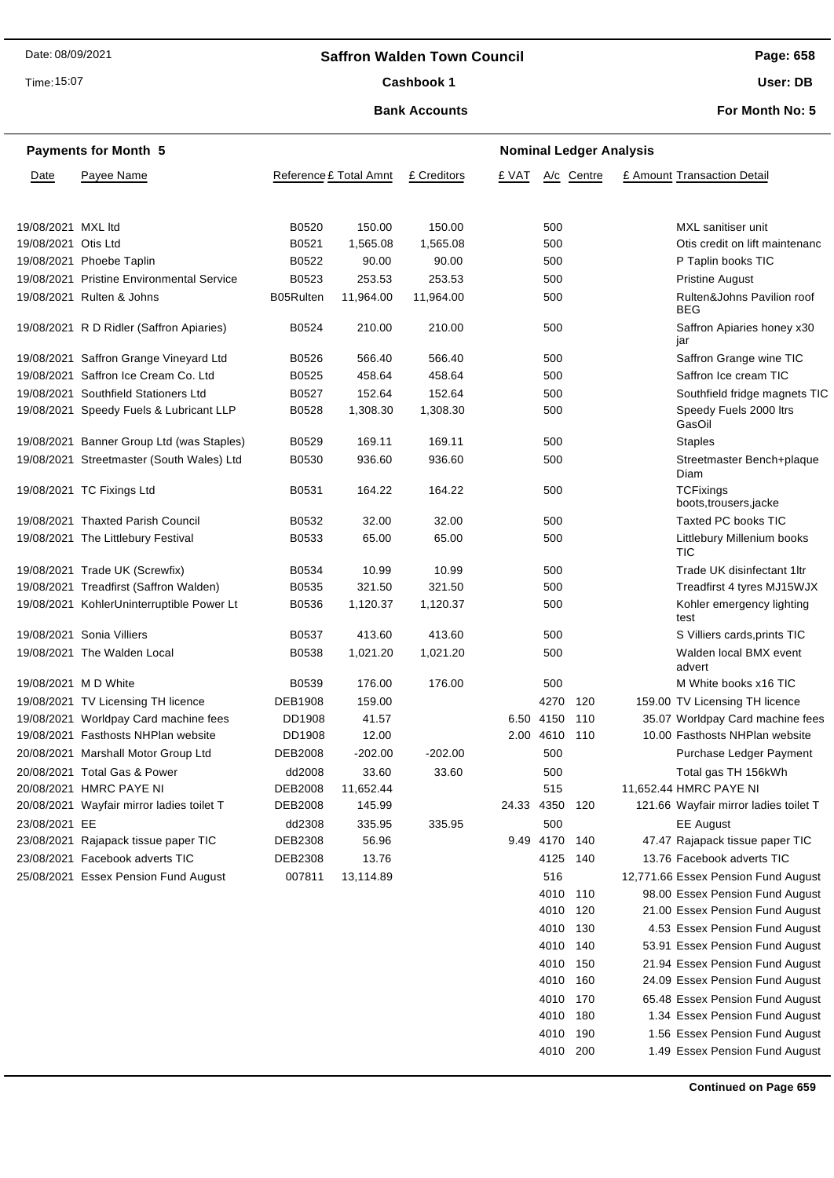### **Saffron Walden Town Council**

Time: 15:07

#### Cashbook 1

**Page: 658**

**User: DB**

**For Month No: 5**

#### **Bank Accounts**

|                     | <b>Payments for Month 5</b>               | <b>Nominal Ledger Analysis</b> |           |             |       |                |            |  |                                            |
|---------------------|-------------------------------------------|--------------------------------|-----------|-------------|-------|----------------|------------|--|--------------------------------------------|
| Date                | Payee Name                                | Reference £ Total Amnt         |           | £ Creditors | £ VAT |                | A/c Centre |  | £ Amount Transaction Detail                |
|                     |                                           |                                |           |             |       |                |            |  |                                            |
| 19/08/2021 MXL ltd  |                                           | B0520                          | 150.00    | 150.00      |       | 500            |            |  | MXL sanitiser unit                         |
| 19/08/2021 Otis Ltd |                                           | B0521                          | 1,565.08  | 1,565.08    |       | 500            |            |  | Otis credit on lift maintenanc             |
|                     | 19/08/2021 Phoebe Taplin                  | B0522                          | 90.00     | 90.00       |       | 500            |            |  | P Taplin books TIC                         |
|                     | 19/08/2021 Pristine Environmental Service | B0523                          | 253.53    | 253.53      |       | 500            |            |  | <b>Pristine August</b>                     |
|                     | 19/08/2021 Rulten & Johns                 | B05Rulten                      | 11,964.00 | 11,964.00   |       | 500            |            |  | Rulten&Johns Pavilion roof<br><b>BEG</b>   |
|                     | 19/08/2021 R D Ridler (Saffron Apiaries)  | B0524                          | 210.00    | 210.00      |       | 500            |            |  | Saffron Apiaries honey x30<br>jar          |
|                     | 19/08/2021 Saffron Grange Vineyard Ltd    | B0526                          | 566.40    | 566.40      |       | 500            |            |  | Saffron Grange wine TIC                    |
|                     | 19/08/2021 Saffron Ice Cream Co. Ltd      | B0525                          | 458.64    | 458.64      |       | 500            |            |  | Saffron Ice cream TIC                      |
|                     | 19/08/2021 Southfield Stationers Ltd      | B0527                          | 152.64    | 152.64      |       | 500            |            |  | Southfield fridge magnets TIC              |
|                     | 19/08/2021 Speedy Fuels & Lubricant LLP   | B0528                          | 1,308.30  | 1,308.30    |       | 500            |            |  | Speedy Fuels 2000 ltrs<br>GasOil           |
|                     | 19/08/2021 Banner Group Ltd (was Staples) | B0529                          | 169.11    | 169.11      |       | 500            |            |  | <b>Staples</b>                             |
|                     | 19/08/2021 Streetmaster (South Wales) Ltd | B0530                          | 936.60    | 936.60      |       | 500            |            |  | Streetmaster Bench+plaque<br>Diam          |
|                     | 19/08/2021 TC Fixings Ltd                 | B0531                          | 164.22    | 164.22      |       | 500            |            |  | <b>TCFixings</b><br>boots, trousers, jacke |
|                     | 19/08/2021 Thaxted Parish Council         | B0532                          | 32.00     | 32.00       |       | 500            |            |  | <b>Taxted PC books TIC</b>                 |
|                     | 19/08/2021 The Littlebury Festival        | B0533                          | 65.00     | 65.00       |       | 500            |            |  | Littlebury Millenium books<br>TIC          |
|                     | 19/08/2021 Trade UK (Screwfix)            | B0534                          | 10.99     | 10.99       |       | 500            |            |  | Trade UK disinfectant 1ltr                 |
|                     | 19/08/2021 Treadfirst (Saffron Walden)    | B0535                          | 321.50    | 321.50      |       | 500            |            |  | Treadfirst 4 tyres MJ15WJX                 |
|                     | 19/08/2021 KohlerUninterruptible Power Lt | B0536                          | 1,120.37  | 1,120.37    |       | 500            |            |  | Kohler emergency lighting<br>test          |
|                     | 19/08/2021 Sonia Villiers                 | B0537                          | 413.60    | 413.60      |       | 500            |            |  | S Villiers cards, prints TIC               |
|                     | 19/08/2021 The Walden Local               | B0538                          | 1,021.20  | 1,021.20    |       | 500            |            |  | Walden local BMX event<br>advert           |
|                     | 19/08/2021 M D White                      | B0539                          | 176.00    | 176.00      |       | 500            |            |  | M White books x16 TIC                      |
|                     | 19/08/2021 TV Licensing TH licence        | <b>DEB1908</b>                 | 159.00    |             |       | 4270           | 120        |  | 159.00 TV Licensing TH licence             |
|                     | 19/08/2021 Worldpay Card machine fees     | DD1908                         | 41.57     |             |       | 6.50 4150      | 110        |  | 35.07 Worldpay Card machine fees           |
|                     | 19/08/2021 Fasthosts NHPlan website       | DD1908                         | 12.00     |             |       | 2.00 4610      | 110        |  | 10.00 Fasthosts NHPlan website             |
|                     | 20/08/2021 Marshall Motor Group Ltd       | DEB2008                        | $-202.00$ | $-202.00$   |       | 500            |            |  | Purchase Ledger Payment                    |
|                     | 20/08/2021 Total Gas & Power              | dd2008                         | 33.60     | 33.60       |       | 500            |            |  | Total gas TH 156kWh                        |
|                     | 20/08/2021 HMRC PAYE NI                   | <b>DEB2008</b>                 | 11,652.44 |             |       | 515            |            |  | 11,652.44 HMRC PAYE NI                     |
|                     | 20/08/2021 Wayfair mirror ladies toilet T | DEB2008                        | 145.99    |             |       | 24.33 4350 120 |            |  | 121.66 Wayfair mirror ladies toilet T      |
| 23/08/2021 EE       |                                           | dd2308                         | 335.95    | 335.95      |       | 500            |            |  | <b>EE</b> August                           |
|                     | 23/08/2021 Rajapack tissue paper TIC      | DEB2308                        | 56.96     |             |       | 9.49 4170 140  |            |  | 47.47 Rajapack tissue paper TIC            |
|                     | 23/08/2021 Facebook adverts TIC           | DEB2308                        | 13.76     |             |       | 4125 140       |            |  | 13.76 Facebook adverts TIC                 |
|                     | 25/08/2021 Essex Pension Fund August      | 007811                         | 13,114.89 |             |       | 516            |            |  | 12,771.66 Essex Pension Fund August        |
|                     |                                           |                                |           |             |       | 4010           | 110        |  | 98.00 Essex Pension Fund August            |
|                     |                                           |                                |           |             |       | 4010           | 120        |  | 21.00 Essex Pension Fund August            |
|                     |                                           |                                |           |             |       | 4010 130       |            |  | 4.53 Essex Pension Fund August             |

**Continued on Page 659**

 140 53.91 Essex Pension Fund August 150 21.94 Essex Pension Fund August 160 24.09 Essex Pension Fund August 170 65.48 Essex Pension Fund August 180 1.34 Essex Pension Fund August 190 1.56 Essex Pension Fund August 200 1.49 Essex Pension Fund August